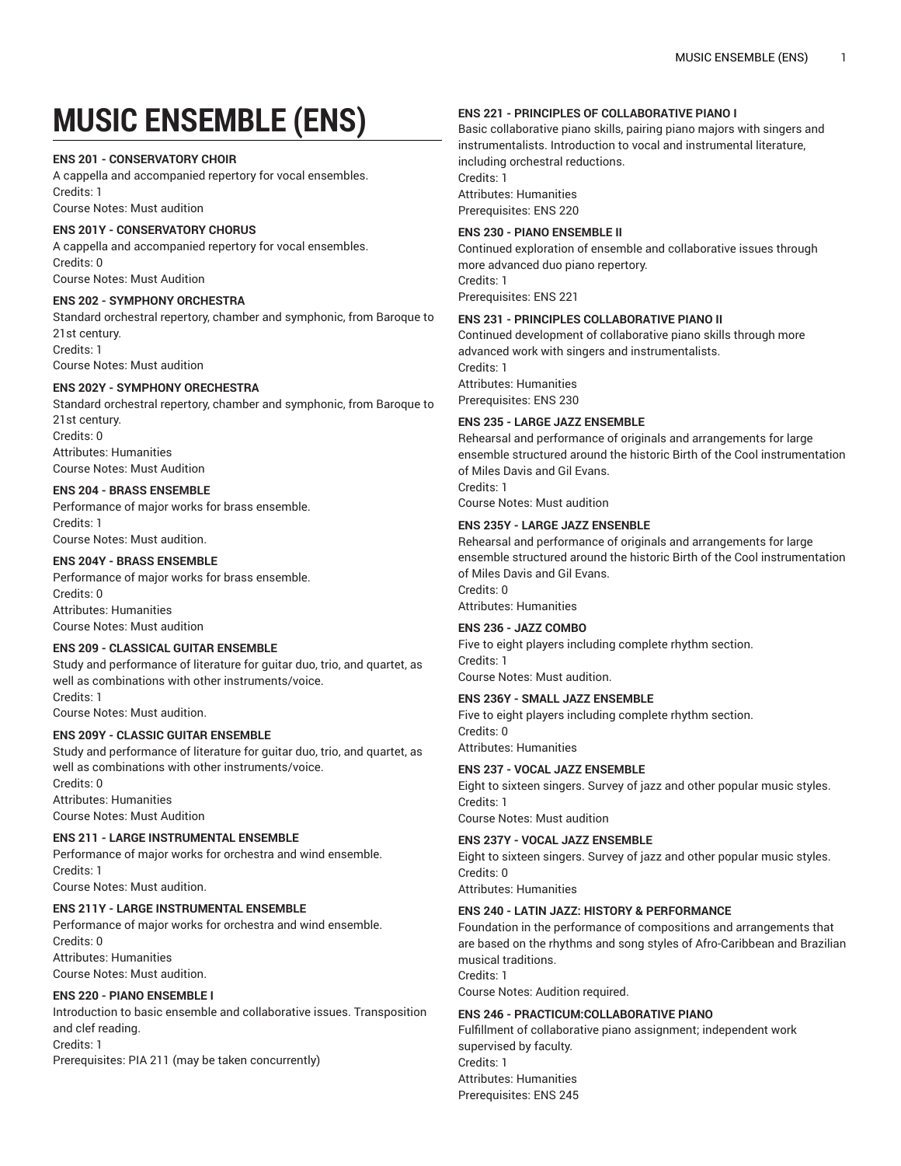# **MUSIC ENSEMBLE (ENS)**

## **ENS 201 - CONSERVATORY CHOIR**

A cappella and accompanied repertory for vocal ensembles. Credits: 1

Course Notes: Must audition

# **ENS 201Y - CONSERVATORY CHORUS**

A cappella and accompanied repertory for vocal ensembles. Credits: 0 Course Notes: Must Audition

# **ENS 202 - SYMPHONY ORCHESTRA**

Standard orchestral repertory, chamber and symphonic, from Baroque to 21st century. Credits: 1 Course Notes: Must audition

#### **ENS 202Y - SYMPHONY ORECHESTRA**

Standard orchestral repertory, chamber and symphonic, from Baroque to 21st century. Credits: 0 Attributes: Humanities Course Notes: Must Audition

# **ENS 204 - BRASS ENSEMBLE**

Performance of major works for brass ensemble. Credits: 1 Course Notes: Must audition.

## **ENS 204Y - BRASS ENSEMBLE**

Performance of major works for brass ensemble. Credits: 0 Attributes: Humanities Course Notes: Must audition

## **ENS 209 - CLASSICAL GUITAR ENSEMBLE**

Study and performance of literature for guitar duo, trio, and quartet, as well as combinations with other instruments/voice. Credits: 1

Course Notes: Must audition.

# **ENS 209Y - CLASSIC GUITAR ENSEMBLE**

Study and performance of literature for guitar duo, trio, and quartet, as well as combinations with other instruments/voice. Credits: 0 Attributes: Humanities Course Notes: Must Audition

# **ENS 211 - LARGE INSTRUMENTAL ENSEMBLE**

Performance of major works for orchestra and wind ensemble. Credits: 1

Course Notes: Must audition.

# **ENS 211Y - LARGE INSTRUMENTAL ENSEMBLE**

Performance of major works for orchestra and wind ensemble. Credits: 0 Attributes: Humanities Course Notes: Must audition.

## **ENS 220 - PIANO ENSEMBLE I**

Introduction to basic ensemble and collaborative issues. Transposition and clef reading. Credits: 1

Prerequisites: PIA 211 (may be taken concurrently)

## **ENS 221 - PRINCIPLES OF COLLABORATIVE PIANO I**

Basic collaborative piano skills, pairing piano majors with singers and instrumentalists. Introduction to vocal and instrumental literature, including orchestral reductions. Credits: 1 Attributes: Humanities Prerequisites: ENS 220

## **ENS 230 - PIANO ENSEMBLE II**

Continued exploration of ensemble and collaborative issues through more advanced duo piano repertory. Credits: 1 Prerequisites: ENS 221

# **ENS 231 - PRINCIPLES COLLABORATIVE PIANO II**

Continued development of collaborative piano skills through more advanced work with singers and instrumentalists. Credits: 1 Attributes: Humanities Prerequisites: ENS 230

#### **ENS 235 - LARGE JAZZ ENSEMBLE**

Rehearsal and performance of originals and arrangements for large ensemble structured around the historic Birth of the Cool instrumentation of Miles Davis and Gil Evans. Credits: 1

Course Notes: Must audition

#### **ENS 235Y - LARGE JAZZ ENSENBLE**

Rehearsal and performance of originals and arrangements for large ensemble structured around the historic Birth of the Cool instrumentation of Miles Davis and Gil Evans. Credits: 0 Attributes: Humanities

#### **ENS 236 - JAZZ COMBO**

Five to eight players including complete rhythm section. Credits: 1 Course Notes: Must audition.

## **ENS 236Y - SMALL JAZZ ENSEMBLE**

Five to eight players including complete rhythm section. Credits: 0 Attributes: Humanities

#### **ENS 237 - VOCAL JAZZ ENSEMBLE**

Eight to sixteen singers. Survey of jazz and other popular music styles. Credits: 1

Course Notes: Must audition

## **ENS 237Y - VOCAL JAZZ ENSEMBLE**

Eight to sixteen singers. Survey of jazz and other popular music styles. Credits: 0

Attributes: Humanities

Credits: 1

## **ENS 240 - LATIN JAZZ: HISTORY & PERFORMANCE**

Foundation in the performance of compositions and arrangements that are based on the rhythms and song styles of Afro-Caribbean and Brazilian musical traditions.

Course Notes: Audition required.

# **ENS 246 - PRACTICUM:COLLABORATIVE PIANO**

Fulfillment of collaborative piano assignment; independent work supervised by faculty. Credits: 1 Attributes: Humanities Prerequisites: ENS 245